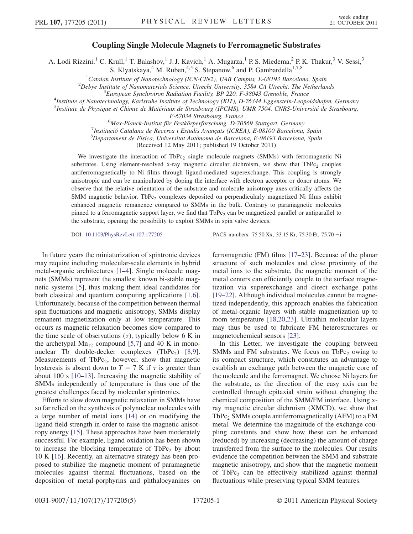## Coupling Single Molecule Magnets to Ferromagnetic Substrates

A. Lodi Rizzini,<sup>1</sup> C. Krull,<sup>1</sup> T. Balashov,<sup>1</sup> J. J. Kavich,<sup>1</sup> A. Mugarza,<sup>1</sup> P. S. Miedema,<sup>2</sup> P. K. Thakur,<sup>3</sup> V. Sessi,<sup>3</sup> S. Klyatskaya,<sup>4</sup> M. Ruben,<sup>4,5</sup> S. Stepanow,<sup>6</sup> and P. Gambardella<sup>1,7,8</sup>

<sup>1</sup>Catalan Institute of Nanotechnology (ICN-CIN2), UAB Campus, E-08193 Barcelona, Spain<br><sup>2</sup>Debye Institute of Nanomaterials Science, Utrecht University, 3584 CA Utrecht, The Netharlan

 $<sup>2</sup>Debye Institute of Nanomaterials Science, Utrecht University, 3584 CA Utrecht, The Netherlands$ </sup>

 ${}^{3}$ European Synchrotron Radiation Facility, BP 220, F-38043 Grenoble, France

Institute of Nanotechnology, Karlsruhe Institute of Technology (KIT), D-76344 Eggenstein-Leopoldshafen, Germany

<sup>5</sup>Institute de Physique et Chimie de Matériaux de Strasbourg (IPCMS), UMR 7504, CNRS-Université de Strasbourg,

F-67034 Strasbourg, France<br><sup>6</sup>Max Planck Institut für Eastkörnarforschung, D. 70

<sup>6</sup>Max-Planck-Institut für Festkörperforschung, D-70569 Stuttgart, Germany<br><sup>7</sup>Institució Catalana de Becerca i Estudis Avancats (ICBEA), E 08100 Barcelona

 $<sup>7</sup>$ Institució Catalana de Recerca i Estudis Avançats (ICREA), E-08100 Barcelona, Spain</sup>

 ${}^8$ Departament de Física, Universitat Autònoma de Barcelona, E-08193 Barcelona, Spain

(Received 12 May 2011; published 19 October 2011)

We investigate the interaction of TbPc<sub>2</sub> single molecule magnets (SMMs) with ferromagnetic Ni substrates. Using element-resolved x-ray magnetic circular dichroism, we show that  $TbPc<sub>2</sub>$  couples antiferromagnetically to Ni films through ligand-mediated superexchange. This coupling is strongly anisotropic and can be manipulated by doping the interface with electron acceptor or donor atoms. We observe that the relative orientation of the substrate and molecule anisotropy axes critically affects the SMM magnetic behavior. TbPc<sub>2</sub> complexes deposited on perpendicularly magnetized Ni films exhibit enhanced magnetic remanence compared to SMMs in the bulk. Contrary to paramagnetic molecules pinned to a ferromagnetic support layer, we find that  $TbPc<sub>2</sub>$  can be magnetized parallel or antiparallel to the substrate, opening the possibility to exploit SMMs in spin valve devices.

DOI: [10.1103/PhysRevLett.107.177205](http://dx.doi.org/10.1103/PhysRevLett.107.177205) PACS numbers: 75.50.Xx, 33.15.Kr, 75.30.Et, 75.70. - i

In future years the miniaturization of spintronic devices may require including molecular-scale elements in hybrid metal-organic architectures [[1](#page-3-0)[–4](#page-3-1)]. Single molecule magnets (SMMs) represent the smallest known bi-stable magnetic systems [\[5\]](#page-3-2), thus making them ideal candidates for both classical and quantum computing applications [[1](#page-3-0),[6\]](#page-3-3). Unfortunately, because of the competition between thermal spin fluctuations and magnetic anisotropy, SMMs display remanent magnetization only at low temperature. This occurs as magnetic relaxation becomes slow compared to the time scale of observations  $(\tau)$ , typically below 6 K in the archetypal  $Mn_{12}$  compound [\[5,](#page-3-2)[7](#page-3-4)] and 40 K in mononuclear Tb double-decker complexes  $(TbPc_2)$  [[8](#page-3-5),[9\]](#page-3-6). Measurements of TbPc<sub>2</sub>, however, show that magnetic hysteresis is absent down to  $T = 7$  K if  $\tau$  is greater than about 100 s [\[10–](#page-3-7)[13](#page-3-8)]. Increasing the magnetic stability of SMMs independently of temperature is thus one of the greatest challenges faced by molecular spintronics.

Efforts to slow down magnetic relaxation in SMMs have so far relied on the synthesis of polynuclear molecules with a large number of metal ions [\[14\]](#page-3-9) or on modifying the ligand field strength in order to raise the magnetic anisotropy energy [\[15\]](#page-4-0). These approaches have been moderately successful. For example, ligand oxidation has been shown to increase the blocking temperature of  $TbPc<sub>2</sub>$  by about 10 K [[16](#page-4-1)]. Recently, an alternative strategy has been proposed to stabilize the magnetic moment of paramagnetic molecules against thermal fluctuations, based on the deposition of metal-porphyrins and phthalocyanines on ferromagnetic (FM) films [[17](#page-4-2)–[23](#page-4-3)]. Because of the planar structure of such molecules and close proximity of the metal ions to the substrate, the magnetic moment of the metal centers can efficiently couple to the surface magnetization via superexchange and direct exchange paths [\[19–](#page-4-4)[22\]](#page-4-5). Although individual molecules cannot be magnetized independently, this approach enables the fabrication of metal-organic layers with stable magnetization up to room temperature [\[18](#page-4-6)[,20,](#page-4-7)[23\]](#page-4-3). Ultrathin molecular layers may thus be used to fabricate FM heterostructures or magnetochemical sensors [\[23\]](#page-4-3).

In this Letter, we investigate the coupling between SMMs and FM substrates. We focus on TbPc<sub>2</sub> owing to its compact structure, which constitutes an advantage to establish an exchange path between the magnetic core of the molecule and the ferromagnet. We choose Ni layers for the substrate, as the direction of the easy axis can be controlled through epitaxial strain without changing the chemical composition of the SMM/FM interface. Using xray magnetic circular dichroism (XMCD), we show that TbPc<sub>2</sub> SMMs couple antiferromagnetically (AFM) to a FM metal. We determine the magnitude of the exchange coupling constants and show how these can be enhanced (reduced) by increasing (decreasing) the amount of charge transferred from the surface to the molecules. Our results evidence the competition between the SMM and substrate magnetic anisotropy, and show that the magnetic moment of TbPc<sub>2</sub> can be effectively stabilized against thermal fluctuations while preserving typical SMM features.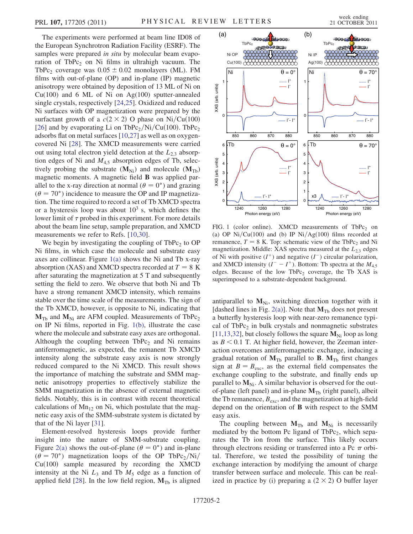The experiments were performed at beam line ID08 of the European Synchrotron Radiation Facility (ESRF). The samples were prepared in situ by molecular beam evaporation of TbPc<sub>2</sub> on Ni films in ultrahigh vacuum. The TbPc<sub>2</sub> coverage was  $0.05 \pm 0.02$  monolayers (ML). FM<br>films with out-of-plane (OP) and in-plane (IP) magnetic films with out-of-plane (OP) and in-plane (IP) magnetic anisotropy were obtained by deposition of 13 ML of Ni on  $Cu(100)$  and 6 ML of Ni on Ag $(100)$  sputter-annealed single crystals, respectively [\[24,](#page-4-8)[25\]](#page-4-9). Oxidized and reduced Ni surfaces with OP magnetization were prepared by the surfactant growth of a  $c(2 \times 2)$  O phase on Ni/Cu(100) [\[26\]](#page-4-10) and by evaporating Li on TbPc<sub>2</sub>/Ni/Cu(100). TbPc<sub>2</sub> adsorbs flat on metal surfaces [\[10](#page-3-7)[,27\]](#page-4-11) as well as on oxygencovered Ni [[28](#page-4-12)]. The XMCD measurements were carried out using total electron yield detection at the  $L_{2,3}$  absorption edges of Ni and  $M<sub>4,5</sub>$  absorption edges of Tb, selectively probing the substrate  $(M_{Ni})$  and molecule  $(M_{Tb})$ magnetic moments. A magnetic field B was applied parallel to the x-ray direction at normal  $(\theta = 0^{\circ})$  and grazing  $(\theta = 70^{\circ})$  incidence to measure the OP and IP magnetiza- $(\theta = 70^{\circ})$  incidence to measure the OP and IP magnetiza-<br>tion. The time required to record a set of Tb XMCD spectra tion. The time required to record a set of Tb XMCD spectra or a hysteresis loop was about  $10<sup>3</sup>$  s, which defines the lower limit of  $\tau$  probed in this experiment. For more details about the beam line setup, sample preparation, and XMCD measurements we refer to Refs. [[10](#page-3-7),[30](#page-4-13)].

We begin by investigating the coupling of  $TbPc<sub>2</sub>$  to OP Ni films, in which case the molecule and substrate easy axes are collinear. Figure  $1(a)$  shows the Ni and Tb x-ray absorption (XAS) and XMCD spectra recorded at  $T = 8$  K after saturating the magnetization at 5 T and subsequently setting the field to zero. We observe that both Ni and Tb have a strong remanent XMCD intensity, which remains stable over the time scale of the measurements. The sign of the Tb XMCD, however, is opposite to Ni, indicating that  $M_{Tb}$  and  $M_{Ni}$  are AFM coupled. Measurements of TbPc<sub>2</sub> on IP Ni films, reported in Fig. [1\(b\),](#page-1-0) illustrate the case where the molecule and substrate easy axes are orthogonal. Although the coupling between  $TbPc<sub>2</sub>$  and Ni remains antiferromagnetic, as expected, the remanent Tb XMCD intensity along the substrate easy axis is now strongly reduced compared to the Ni XMCD. This result shows the importance of matching the substrate and SMM magnetic anisotropy properties to effectively stabilize the SMM magnetization in the absence of external magnetic fields. Notably, this is in contrast with recent theoretical calculations of  $Mn<sub>12</sub>$  on Ni, which postulate that the magnetic easy axis of the SMM-substrate system is dictated by that of the Ni layer [\[31\]](#page-4-14).

Element-resolved hysteresis loops provide further insight into the nature of SMM-substrate coupling. Figure [2\(a\)](#page-2-0) shows the out-of-plane ( $\theta = 0^{\circ}$ ) and in-plane ( $\theta = 70^{\circ}$ ) magnetization loops of the OP TbPcs/Ni/  $(\vec{\theta} = 70^{\circ})$  magnetization loops of the OP TbPc<sub>2</sub>/Ni/<br>Cu(100) sample measured by recording the XMCD  $Cu(100)$  sample measured by recording the XMCD intensity at the Ni  $L_3$  and Tb  $M_5$  edge as a function of applied field [[28](#page-4-12)]. In the low field region,  $M_{Tb}$  is aligned



<span id="page-1-0"></span>FIG. 1 (color online). XMCD measurements of TbPc<sub>2</sub> on (a) OP Ni/Cu(100) and (b) IP Ni/Ag(100) films recorded at remanence,  $T = 8$  K. Top: schematic view of the TbPc<sub>2</sub> and Ni magnetization. Middle: XAS spectra measured at the  $L_{2,3}$  edges of Ni with positive  $(I^+)$  and negative  $(I^-)$  circular polarization, and XMCD intensity  $(I^- - I^+)$ . Bottom: Tb spectra at the  $M_{4,5}$ edges. Because of the low TbPc, coverage, the Tb XAS is superimposed to a substrate-dependent background.

antiparallel to  $M_{Ni}$ , switching direction together with it [dashed lines in Fig. [2\(a\)\]](#page-2-0). Note that  $M_{Tb}$  does not present a butterfly hysteresis loop with near-zero remanence typical of  $TbPc<sub>2</sub>$  in bulk crystals and nonmagnetic substrates [\[11](#page-3-10)[,13,](#page-3-8)[32](#page-4-15)], but closely follows the square  $M_{Ni}$  loop as long as  $B < 0.1$  T. At higher field, however, the Zeeman interaction overcomes antiferromagnetic exchange, inducing a gradual rotation of  $M_{Tb}$  parallel to **B**.  $M_{Tb}$  first changes sign at  $B = B<sub>exc</sub>$ , as the external field compensates the exchange coupling to the substrate, and finally ends up parallel to  $M_{Ni}$ . A similar behavior is observed for the outof-plane (left panel) and in-plane  $M_{\text{Th}}$  (right panel), albeit the Tb remanence,  $B_{\text{exc}}$ , and the magnetization at high-field depend on the orientation of B with respect to the SMM easy axis.

The coupling between  $M_{Tb}$  and  $M_{Ni}$  is necessarily mediated by the bottom Pc ligand of  $TbPc<sub>2</sub>$ , which separates the Tb ion from the surface. This likely occurs through electrons residing or transferred into a Pc  $\pi$  orbital. Therefore, we tested the possibility of tuning the exchange interaction by modifying the amount of charge transfer between surface and molecule. This can be realized in practice by (i) preparing a  $(2 \times 2)$  O buffer layer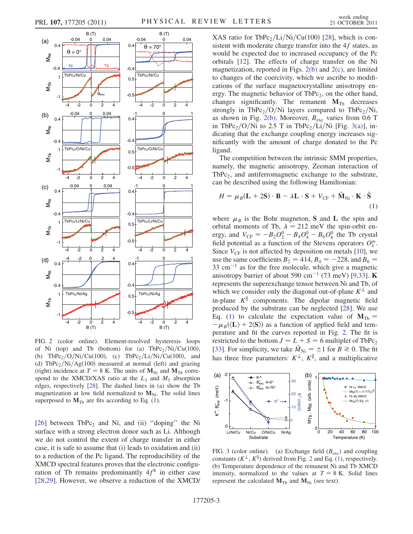<span id="page-2-3"></span>

<span id="page-2-0"></span>FIG. 2 (color online). Element-resolved hysteresis loops of Ni (top) and Tb (bottom) for (a)  $TbPc_2/Ni/Cu(100)$ , (b) TbPc<sub>2</sub>/O/Ni/Cu(100), (c) TbPc<sub>2</sub>/Li/Ni/Cu(100), and (d) TbPc<sub>2</sub>/Ni/Ag $(100)$  measured at normal (left) and grazing (right) incidence at  $T = 8$  K. The units of  $M_{\text{Ni}}$  and  $M_{\text{Tb}}$  correspond to the XMCD/XAS ratio at the  $L_3$  and  $M_5$  absorption edges, respectively [\[28\]](#page-4-12). The dashed lines in (a) show the Tb magnetization at low field normalized to  $M_{Ni}$ . The solid lines superposed to  $M_{Tb}$  are fits according to Eq. ([1](#page-2-2)).

[\[26\]](#page-4-10) between  $TbPc<sub>2</sub>$  and Ni, and (ii) "doping" the Ni surface with a strong electron donor such as Li. Although we do not control the extent of charge transfer in either case, it is safe to assume that (i) leads to oxidation and (ii) to a reduction of the Pc ligand. The reproducibility of the XMCD spectral features proves that the electronic configuration of Tb remains predominantly  $4f^8$  in either case [\[28](#page-4-12)[,29\]](#page-4-16). However, we observe a reduction of the XMCD/ XAS ratio for TbPc<sub>2</sub>/Li/Ni/Cu(100) [[28](#page-4-12)], which is consistent with moderate charge transfer into the 4f states, as would be expected due to increased occupancy of the Pc orbitals [\[12\]](#page-3-11). The effects of charge transfer on the Ni magnetization, reported in Figs. [2\(b\)](#page-2-0) and [2\(c\),](#page-2-0) are limited to changes of the coercivity, which we ascribe to modifications of the surface magnetocrystalline anisotropy energy. The magnetic behavior of  $TbPc<sub>2</sub>$ , on the other hand, changes significantly. The remanent  $M_{Tb}$  decreases strongly in TbPc<sub>2</sub>/O/Ni layers compared to TbPc<sub>2</sub>/Ni, as shown in Fig. [2\(b\).](#page-2-0) Moreover,  $B_{\text{exc}}$  varies from 0.6 T in TbPc<sub>2</sub>/O/Ni to 2.5 T in TbPc<sub>2</sub>/Li/Ni [Fig. [3\(a\)](#page-2-1)], indicating that the exchange coupling energy increases significantly with the amount of charge donated to the Pc ligand.

The competition between the intrinsic SMM properties, namely, the magnetic anisotropy, Zeeman interaction of TbPc<sub>2</sub>, and antiferromagnetic exchange to the substrate, can be described using the following Hamiltonian:

<span id="page-2-2"></span>
$$
H = \mu_B (\mathbf{L} + 2\mathbf{S}) \cdot \mathbf{B} - \lambda \mathbf{L} \cdot \mathbf{S} + V_{\text{CF}} + \hat{\mathbf{M}}_{\text{Ni}} \cdot \mathbf{K} \cdot \hat{\mathbf{S}}
$$
\n(1)

where  $\mu_B$  is the Bohr magneton, S and L the spin and orbital moments of Tb,  $\lambda = 212$  meV the spin-orbit energy, and  $V_{CF} = -B_2O_2^0 - B_4O_4^0 - B_6O_6^0$  the Tb crystal<br>field potential as a function of the Stevens operators  $O^m$ field potential as a function of the Stevens operators  $O_k^m$ . Since  $V_{CF}$  is not affected by deposition on metals [[10\]](#page-3-7), we use the same coefficients  $B_2 = 414$ ,  $B_4 = -228$ , and  $B_6 =$  $33 \text{ cm}^{-1}$  as for the free molecule, which give a magnetic anisotropy barrier of about 590 cm<sup>-1</sup> (73 meV) [[9,](#page-3-6)[33\]](#page-4-17). **K** represents the superexchange tensor between Ni and Tb, of which we consider only the diagonal out-of-plane  $K^{\perp}$  and in-plane  $K^{\parallel}$  components. The dipolar magnetic field produced by the substrate can be neglected [\[28\]](#page-4-12). We use Eq. ([1](#page-2-2)) to calculate the expectation value of  $M_{\text{Th}} =$  $-\mu_B(\langle L \rangle + 2\langle S \rangle)$  as a function of applied field and temperature and fit the curves reported in Fig. [2.](#page-2-3) The fit is restricted to the bottom  $J = L + S = 6$  multiplet of TbPc<sub>2</sub> [\[33\]](#page-4-17). For simplicity, we take  $\hat{M}_{\text{Ni}} = \pm 1$  for  $B \ge 0$ . The fit<br>has three free parameters:  $K^{\perp}$ ,  $K^{\parallel}$  and a multiplicative has three free parameters:  $K^{\perp}$ ,  $K^{\parallel}$ , and a multiplicative



<span id="page-2-1"></span>FIG. 3 (color online). (a) Exchange field  $(B<sub>exc</sub>)$  and coupling constants  $(K^{\perp}, K^{\parallel})$  derived from Fig. [2](#page-2-3) and Eq. [\(1\)](#page-2-2), respectively. (b) Temperature dependence of the remanent Ni and Tb XMCD intensity, normalized to the values at  $T = 8$  K. Solid lines represent the calculated  $M_{\text{Tb}}$  and  $M_{\text{Ni}}$  (see text).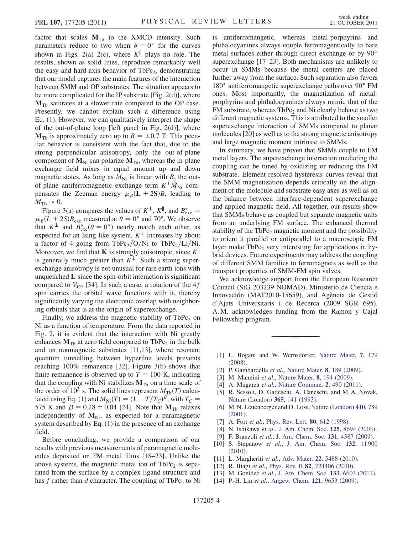factor that scales  $M_{Tb}$  to the XMCD intensity. Such parameters reduce to two when  $\theta = 0^{\circ}$  for the curves<br>shown in Figs. 2(a) 2(c) where  $K^{\parallel}$  plays no role. The shown in Figs. [2\(a\)–2\(c\),](#page-2-0) where  $K^{\parallel}$  plays no role. The results, shown as solid lines, reproduce remarkably well the easy and hard axis behavior of  $TbPc<sub>2</sub>$ , demonstrating that our model captures the main features of the interaction between SMM and OP substrates. The situation appears to be more complicated for the IP substrate [Fig. [2\(d\)\]](#page-2-0), where  $M_{Tb}$  saturates at a slower rate compared to the OP case. Presently, we cannot explain such a difference using Eq. ([1](#page-2-2)). However, we can qualitatively interpret the shape of the out-of-plane loop [left panel in Fig.  $2(d)$ ], where  $M_{\text{Tb}}$  is approximately zero up to  $B = \pm 0.7$  T. This pecu-<br>liar behavior is consistent with the fact that due to the liar behavior is consistent with the fact that, due to the strong perpendicular anisotropy, only the out-of-plane component of  $M_{Ni}$  can polarize  $M_{Tb}$ , whereas the in-plane exchange field mixes in equal amount up and down magnetic states. As long as  $M_{\text{Ni}}$  is linear with B, the outof-plane antiferromagnetic exchange term  $K^{\perp} \hat{M}_{Ni}$  compensates the Zeeman energy  $\mu_B(L + 2S)B$ , leading to  $M_{\text{Tb}} \approx 0.$ <br>Figure

Figure [3\(a\)](#page-2-1) compares the values of  $K^{\perp}$ ,  $K^{\parallel}$ , and  $B_{\text{exc}}^* =$ <br> $(I + 2S)B$  measured at  $A = 0^{\circ}$  and  $70^{\circ}$ . We observe  $\mu_B(L + 2S)B_{\text{exc}}$  measured at  $\theta = 0^{\circ}$  and 70°. We observe<br>that  $K^{\perp}$  and  $R^*$  ( $\theta = 0^{\circ}$ ) nearly match each other as that  $K^{\perp}$  and  $B_{\text{exc}}^*(\theta = 0^{\circ})$  nearly match each other, as<br>expected for an Ising-like system  $K^{\perp}$  increases by about expected for an Ising-like system.  $K^{\perp}$  increases by about a factor of 4 going from TbPc<sub>2</sub>/O/Ni to TbPc<sub>2</sub>/Li/Ni. Moreover, we find that **K** is strongly anisotropic, since  $K^{\parallel}$ is generally much greater than  $K^{\perp}$ . Such a strong superexchange anisotropy is not unusual for rare earth ions with unquenched  $L$  since the spin-orbit interaction is significant compared to  $V_{CF}$  [\[34\]](#page-4-18). In such a case, a rotation of the 4f spin carries the orbital wave functions with it, thereby significantly varying the electronic overlap with neighboring orbitals that is at the origin of superexchange.

Finally, we address the magnetic stability of  $TbPc<sub>2</sub>$  on Ni as a function of temperature. From the data reported in Fig. [2](#page-2-3), it is evident that the interaction with Ni greatly enhances  $M_{\text{Th}}$  at zero field compared to TbPc<sub>2</sub> in the bulk and on nonmagnetic substrates [\[11](#page-3-10)[,13\]](#page-3-8), where resonant quantum tunnelling between hyperfine levels prevents reaching 100% remanence [\[32\]](#page-4-15). Figure [3\(b\)](#page-2-1) shows that finite remanence is observed up to  $T = 100$  K, indicating that the coupling with Ni stabilizes  $M_{\text{Th}}$  on a time scale of the order of  $10^3$  s. The solid lines represent  $M_{\text{Tb}}(T)$  calcu-lated using Eq. ([1\)](#page-2-2) and  $M_{\text{Ni}}(T) = (1 - T/T_C)^{\beta}$ , with  $T_C =$ <br>575 K and  $\beta = 0.28 \pm 0.04$  [24]. Note that  $\mathbf{M}_{\text{av}}$  relaxes 575 K and  $\beta = 0.28 \pm 0.04$  [[24\]](#page-4-8). Note that  $\mathbf{M}_{\text{Tb}}$  relaxes<br>independently of  $\mathbf{M}_{\text{Hb}}$  as expected for a paramagnetic independently of  $M_{Ni}$ , as expected for a paramagnetic system described by Eq. ([1\)](#page-2-2) in the presence of an exchange field.

Before concluding, we provide a comparison of our results with previous measurements of paramagnetic molecules deposited on FM metal films [\[18–](#page-4-6)[23](#page-4-3)]. Unlike the above systems, the magnetic metal ion of  $TbPc<sub>2</sub>$  is separated from the surface by a complex ligand structure and has f rather than d character. The coupling of TbPc<sub>2</sub> to Ni is antiferromangetic, whereas metal-porphyrins and phthalocyanines always couple ferromagentically to bare metal surfaces either through direct exchange or by 90 superexchange [[17](#page-4-2)–[23](#page-4-3)]. Both mechanisms are unlikely to occur in SMMs because the metal centers are placed further away from the surface. Such separation also favors 180° antiferromangetic superexchange paths over 90° FM ones. Most importantly, the magnetization of metalporphyrins and phthalocyanines always mimic that of the FM substrate, whereas  $TbPc<sub>2</sub>$  and Ni clearly behave as two different magnetic systems. This is attributed to the smaller superexchange interaction of SMMs compared to planar molecules [\[20\]](#page-4-7) as well as to the strong magnetic anisotropy and large magnetic moment intrinsic to SMMs.

In summary, we have proven that SMMs couple to FM metal layers. The superexchange interaction mediating the coupling can be tuned by oxidizing or reducing the FM substrate. Element-resolved hysteresis curves reveal that the SMM magnetization depends critically on the alignment of the molecule and substrate easy axes as well as on the balance between interface-dependent superexchange and applied magnetic field. All together, our results show that SMMs behave as coupled but separate magnetic units from an underlying FM surface. The enhanced thermal stability of the TbPc<sub>2</sub> magnetic moment and the possibility to orient it parallel or antiparallel to a macroscopic FM layer make  $TbPc<sub>2</sub>$  very interesting for applications in hybrid devices. Future experiments may address the coupling of different SMM families to ferromagnets as well as the transport properties of SMM-FM spin valves.

We acknowledge support from the European Research Council (StG 203239 NOMAD), Ministerio de Ciencia e Innovación (MAT2010-15659), and Agència de Gestió d'Ajuts Universitaris i de Recerca (2009 SGR 695). A. M. acknowledges funding from the Ramon y Cajal Fellowship program.

- <span id="page-3-0"></span>[1] L. Bogani and W. Wernsdorfer, [Nature Mater.](http://dx.doi.org/10.1038/nmat2133) 7, 179 [\(2008\)](http://dx.doi.org/10.1038/nmat2133).
- [2] P. Gambardella et al., [Nature Mater.](http://dx.doi.org/10.1038/nmat2376) 8, 189 (2009).
- <span id="page-3-1"></span>[3] M. Mannini et al., [Nature Mater.](http://dx.doi.org/10.1038/nmat2374) 8, 194 (2009).
- <span id="page-3-2"></span>[4] A. Mugarza et al., [Nature Commun.](http://dx.doi.org/10.1038/ncomms1497) 2, 490 (2011).
- <span id="page-3-3"></span>[5] R. Sessoli, D. Gatteschi, A. Caneschi, and M. A. Novak, [Nature \(London\)](http://dx.doi.org/10.1038/365141a0) 365, 141 (1993).
- <span id="page-3-4"></span>[6] M. N. Leuenberger and D. Loss, [Nature \(London\)](http://dx.doi.org/10.1038/35071024) 410, 789 [\(2001\)](http://dx.doi.org/10.1038/35071024).
- <span id="page-3-5"></span>[7] A. Fort *et al.*, *[Phys. Rev. Lett.](http://dx.doi.org/10.1103/PhysRevLett.80.612)* **80**, 612 (1998).
- <span id="page-3-6"></span>[8] N. Ishikawa et al., [J. Am. Chem. Soc.](http://dx.doi.org/10.1021/ja029629n) 125, 8694 (2003).
- <span id="page-3-7"></span>[9] F. Branzoli et al., [J. Am. Chem. Soc.](http://dx.doi.org/10.1021/ja808649g) 131, 4387 (2009).
- <span id="page-3-10"></span>[10] S. Stepanow et al., [J. Am. Chem. Soc.](http://dx.doi.org/10.1021/ja105124r) 132, 11900 [\(2010\)](http://dx.doi.org/10.1021/ja105124r).
- <span id="page-3-11"></span>[11] L. Margheriti *et al.*, Adv. Mater. **22**[, 5488 \(2010\)](http://dx.doi.org/10.1002/adma.201003275).<br>[12] R. Biagi *et al.*, Phys. Rev. B **82**, 224406 (2010).
- <span id="page-3-8"></span>R. Biagi et al., Phys. Rev. B 82[, 224406 \(2010\).](http://dx.doi.org/10.1103/PhysRevB.82.224406)
- <span id="page-3-9"></span>[13] M. Gonidec et al., [J. Am. Chem. Soc.](http://dx.doi.org/10.1021/ja109296c) 133, 6603 (2011).
- [14] P.-H. Lin et al., [Angew. Chem.](http://dx.doi.org/10.1002/ange.200903199) 121, 9653 (2009).